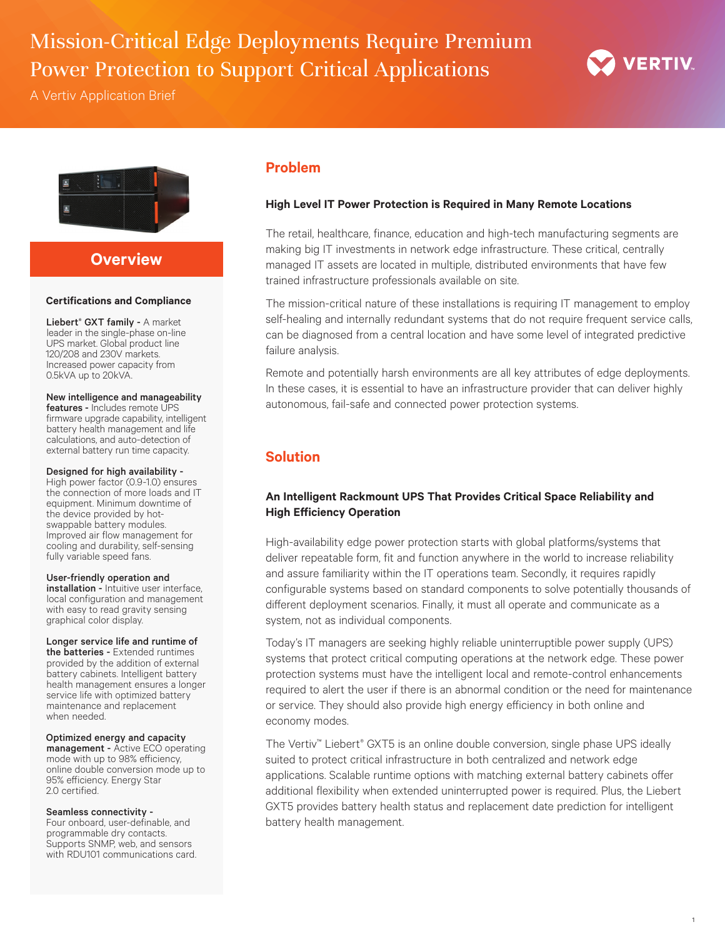# Mission-Critical Edge Deployments Require Premium Power Protection to Support Critical Applications

A Vertiv Application Brief



# **Overview**

### **Certifications and Compliance**

Liebert<sup>®</sup> GXT family - A market leader in the single-phase on-line UPS market. Global product line 120/208 and 230V markets. Increased power capacity from 0.5kVA up to 20kVA.

### New intelligence and manageability

features - Includes remote UPS firmware upgrade capability, intelligent battery health management and life calculations, and auto-detection of external battery run time capacity.

### Designed for high availability -

High power factor (0.9-1.0) ensures the connection of more loads and IT equipment. Minimum downtime of the device provided by hotswappable battery modules. Improved air flow management for cooling and durability, self-sensing fully variable speed fans.

#### User-friendly operation and installation - Intuitive user interface, local configuration and management with easy to read gravity sensing graphical color display.

Longer service life and runtime of the batteries - Extended runtimes provided by the addition of external battery cabinets. Intelligent battery health management ensures a longer service life with optimized battery maintenance and replacement when needed.

### Optimized energy and capacity

management - Active ECO operating mode with up to 98% efficiency, online double conversion mode up to 95% efficiency. Energy Star 2.0 certified.

### Seamless connectivity -

Four onboard, user-definable, and programmable dry contacts. Supports SNMP, web, and sensors with RDU101 communications card.

# **Problem**

## **High Level IT Power Protection is Required in Many Remote Locations**

The retail, healthcare, finance, education and high-tech manufacturing segments are making big IT investments in network edge infrastructure. These critical, centrally managed IT assets are located in multiple, distributed environments that have few trained infrastructure professionals available on site.

The mission-critical nature of these installations is requiring IT management to employ self-healing and internally redundant systems that do not require frequent service calls, can be diagnosed from a central location and have some level of integrated predictive failure analysis.

Remote and potentially harsh environments are all key attributes of edge deployments. In these cases, it is essential to have an infrastructure provider that can deliver highly autonomous, fail-safe and connected power protection systems.

# **Solution**

# **An Intelligent Rackmount UPS That Provides Critical Space Reliability and High Efficiency Operation**

High-availability edge power protection starts with global platforms/systems that deliver repeatable form, fit and function anywhere in the world to increase reliability and assure familiarity within the IT operations team. Secondly, it requires rapidly configurable systems based on standard components to solve potentially thousands of different deployment scenarios. Finally, it must all operate and communicate as a system, not as individual components.

Today's IT managers are seeking highly reliable uninterruptible power supply (UPS) systems that protect critical computing operations at the network edge. These power protection systems must have the intelligent local and remote-control enhancements required to alert the user if there is an abnormal condition or the need for maintenance or service. They should also provide high energy efficiency in both online and economy modes.

The Vertiv™ Liebert® GXT5 is an online double conversion, single phase UPS ideally suited to protect critical infrastructure in both centralized and network edge applications. Scalable runtime options with matching external battery cabinets offer additional flexibility when extended uninterrupted power is required. Plus, the Liebert GXT5 provides battery health status and replacement date prediction for intelligent battery health management.

1